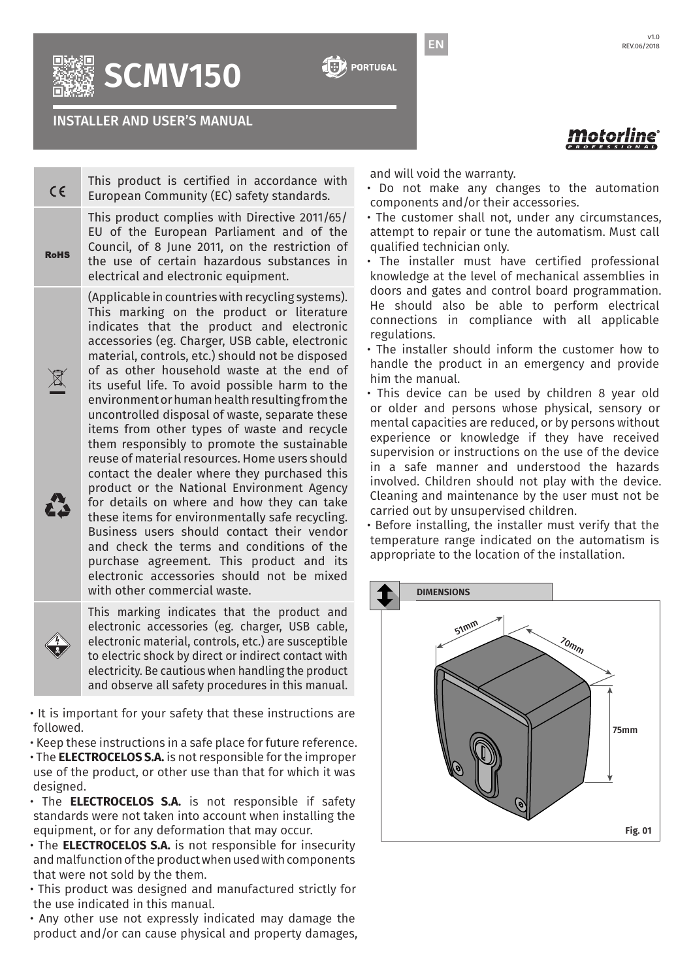**SCMV150**

INSTALLER AND USER'S MANUAL

and will void the warranty.

EN

- Do not make any changes to the automation components and/or their accessories.
- The customer shall not, under any circumstances, attempt to repair or tune the automatism. Must call qualified technician only.
- The installer must have certified professional knowledge at the level of mechanical assemblies in doors and gates and control board programmation. He should also be able to perform electrical connections in compliance with all applicable regulations.
- The installer should inform the customer how to handle the product in an emergency and provide him the manual.
- This device can be used by children 8 year old or older and persons whose physical, sensory or mental capacities are reduced, or by persons without experience or knowledge if they have received supervision or instructions on the use of the device in a safe manner and understood the hazards involved. Children should not play with the device. Cleaning and maintenance by the user must not be carried out by unsupervised children.

• Before installing, the installer must verify that the temperature range indicated on the automatism is appropriate to the location of the installation.





This product is certified in accordance with European Community (EC) safety standards.

This marking on the product or literature indicates that the product and electronic accessories (eg. Charger, USB cable, electronic material, controls, etc.) should not be disposed of as other household waste at the end of its useful life. To avoid possible harm to the environment or human health resulting from the uncontrolled disposal of waste, separate these items from other types of waste and recycle them responsibly to promote the sustainable reuse of material resources. Home users should contact the dealer where they purchased this product or the National Environment Agency for details on where and how they can take these items for environmentally safe recycling. Business users should contact their vendor and check the terms and conditions of the purchase agreement. This product and its electronic accessories should not be mixed with other commercial waste.



 $C \in$ 

**RoHS** 

 $\mathbb{R}$ 

22

This marking indicates that the product and electronic accessories (eg. charger, USB cable, electronic material, controls, etc.) are susceptible to electric shock by direct or indirect contact with electricity. Be cautious when handling the product and observe all safety procedures in this manual.

• It is important for your safety that these instructions are followed.

- Keep these instructions in a safe place for future reference.
- The **ELECTROCELOS S.A.** is not responsible for the improper use of the product, or other use than that for which it was designed.
- The **ELECTROCELOS S.A.** is not responsible if safety standards were not taken into account when installing the equipment, or for any deformation that may occur.
- The **ELECTROCELOS S.A.** is not responsible for insecurity and malfunction of the product when used with components that were not sold by the them.
- This product was designed and manufactured strictly for the use indicated in this manual.
- Any other use not expressly indicated may damage the product and/or can cause physical and property damages,